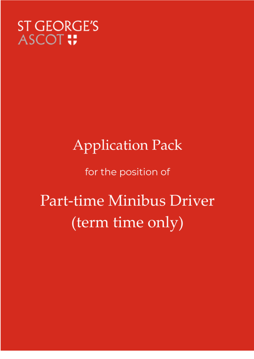### **ST GEORGE'S ASCOT**:

## **Application Pack**

for the position of

# Part-time Minibus Driver (term time only)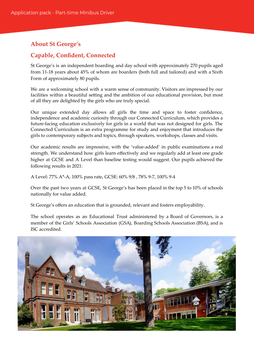#### **About St George's**

#### **Capable, Confident, Connected**

St George's is an independent boarding and day school with approximately 270 pupils aged from 11-18 years about 45% of whom are boarders (both full and tailored) and with a Sixth Form of approximately 80 pupils.

We are a welcoming school with a warm sense of community. Visitors are impressed by our facilities within a beautiful setting and the ambition of our educational provision, but most of all they are delighted by the girls who are truly special.

Our unique extended day allows all girls the time and space to foster confidence, independence and academic curiosity through our Connected Curriculum, which provides a future-facing education exclusively for girls in a world that was not designed for girls. The Connected Curriculum is an extra programme for study and enjoyment that introduces the girls to contemporary subjects and topics, through speakers, workshops, classes and visits.

Our academic results are impressive, with the 'value-added' in public examinations a real strength. We understand how girls learn effectively and we regularly add at least one grade higher at GCSE and A Level than baseline testing would suggest. Our pupils achieved the following results in 2021:

A Level: 77% A\*-A, 100% pass rate, GCSE: 60% 9/8 , 78% 9-7, 100% 9-4

Over the past two years at GCSE, St George's has been placed in the top 5 to 10% of schools nationally for value added.

St George's offers an education that is grounded, relevant and fosters employability.

The school operates as an Educational Trust administered by a Board of Governors, is a member of the Girls' Schools Association (GSA), Boarding Schools Association (BSA), and is ISC accredited.

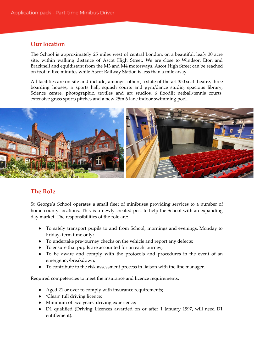#### **Our location**

The School is approximately 25 miles west of central London, on a beautiful, leafy 30 acre site, within walking distance of Ascot High Street. We are close to Windsor, Eton and Bracknell and equidistant from the M3 and M4 motorways. Ascot High Street can be reached on foot in five minutes while Ascot Railway Station is less than a mile away.

All facilities are on site and include, amongst others, a state-of-the-art 350 seat theatre, three boarding houses, a sports hall, squash courts and gym/dance studio, spacious library, Science centre, photographic, textiles and art studios, 6 floodlit netball/tennis courts, extensive grass sports pitches and a new 25m 6 lane indoor swimming pool.



#### **The Role**

St George's School operates a small fleet of minibuses providing services to a number of home county locations. This is a newly created post to help the School with an expanding day market. The responsibilities of the role are:

- To safely transport pupils to and from School, mornings and evenings, Monday to Friday, term time only;
- To undertake pre-journey checks on the vehicle and report any defects;
- To ensure that pupils are accounted for on each journey;
- To be aware and comply with the protocols and procedures in the event of an emergency/breakdown;
- To contribute to the risk assessment process in liaison with the line manager.

Required competencies to meet the insurance and licence requirements:

- Aged 21 or over to comply with insurance requirements;
- 'Clean' full driving licence;
- Minimum of two years' driving experience;
- D1 qualified (Driving Licences awarded on or after 1 January 1997, will need D1 entitlement).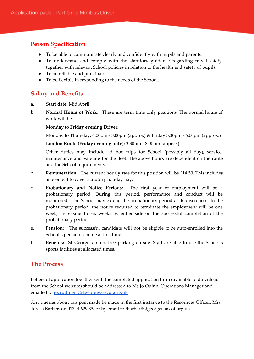#### **Person Specification**

- To be able to communicate clearly and confidently with pupils and parents;
- To understand and comply with the statutory guidance regarding travel safety, together with relevant School policies in relation to the health and safety of pupils.
- To be reliable and punctual;
- To be flexible in responding to the needs of the School.

#### **Salary and Benefits**

- a. **Start date:** Mid April
- **b. Normal Hours of Work:** These are term time only positions; The normal hours of work will be:

#### **Monday to Friday evening Driver:**

Monday to Thursday: 6.00pm - 8.00pm (approx) & Friday 3.30pm - 6.00pm (approx.)

**London Route (Friday evening only):** 3.30pm - 8.00pm (approx)

Other duties may include ad hoc trips for School (possibly all day), service, maintenance and valeting for the fleet. The above hours are dependent on the route and the School requirements.

- c. **Remuneration:** The current hourly rate for this position will be £14.50. This includes an element to cover statutory holiday pay.
- d. **Probationary and Notice Periods:** The first year of employment will be a probationary period. During this period, performance and conduct will be monitored. The School may extend the probationary period at its discretion. In the probationary period, the notice required to terminate the employment will be one week, increasing to six weeks by either side on the successful completion of the probationary period.
- e. **Pension:** The successful candidate will not be eligible to be auto-enrolled into the School's pension scheme at this time.
- f. **Benefits:** St George's offers free parking on site. Staff are able to use the School's sports facilities at allocated times.

#### **The Process**

Letters of application together with the completed application form (available to download from the School website) should be addressed to Ms Jo Quinn, Operations Manager and emailed to [recruitment@stgeorges-ascot.org.uk.](mailto:recruitment@stgeorges-ascot.org.uk)

Any queries about this post made be made in the first instance to the Resources Officer, Mrs Teresa Barber, on 01344 629979 or by email to tbarber@stgeorges-ascot.org.uk